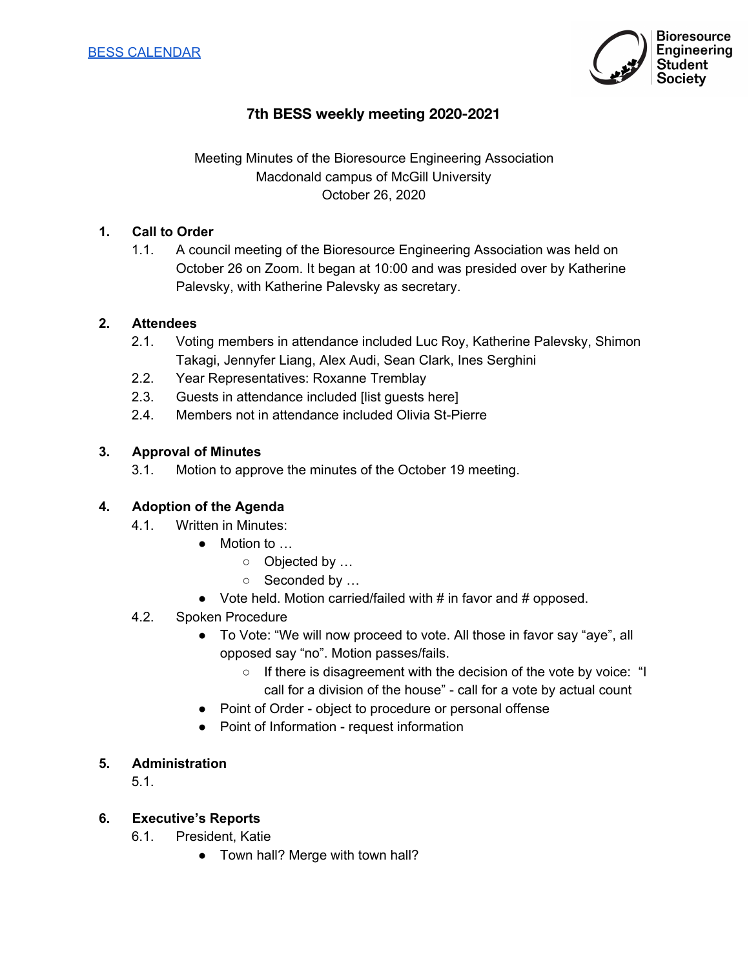

# **7th BESS weekly meeting 2020-2021**

Meeting Minutes of the Bioresource Engineering Association Macdonald campus of McGill University October 26, 2020

## **1. Call to Order**

1.1. A council meeting of the Bioresource Engineering Association was held on October 26 on Zoom. It began at 10:00 and was presided over by Katherine Palevsky, with Katherine Palevsky as secretary.

## **2. Attendees**

- 2.1. Voting members in attendance included Luc Roy, Katherine Palevsky, Shimon Takagi, Jennyfer Liang, Alex Audi, Sean Clark, Ines Serghini
- 2.2. Year Representatives: Roxanne Tremblay
- 2.3. Guests in attendance included [list guests here]
- 2.4. Members not in attendance included Olivia St-Pierre

## **3. Approval of Minutes**

3.1. Motion to approve the minutes of the October 19 meeting.

## **4. Adoption of the Agenda**

- 4.1. Written in Minutes:
	- Motion to …
		- o Objected by ...
			- o Seconded by ...
	- Vote held. Motion carried/failed with # in favor and # opposed.

#### 4.2. Spoken Procedure

- To Vote: "We will now proceed to vote. All those in favor say "aye", all opposed say "no". Motion passes/fails.
	- If there is disagreement with the decision of the vote by voice: "I call for a division of the house" - call for a vote by actual count
- Point of Order object to procedure or personal offense
- Point of Information request information

## **5. Administration**

5.1.

## **6. Executive's Reports**

- 6.1. President, Katie
	- Town hall? Merge with town hall?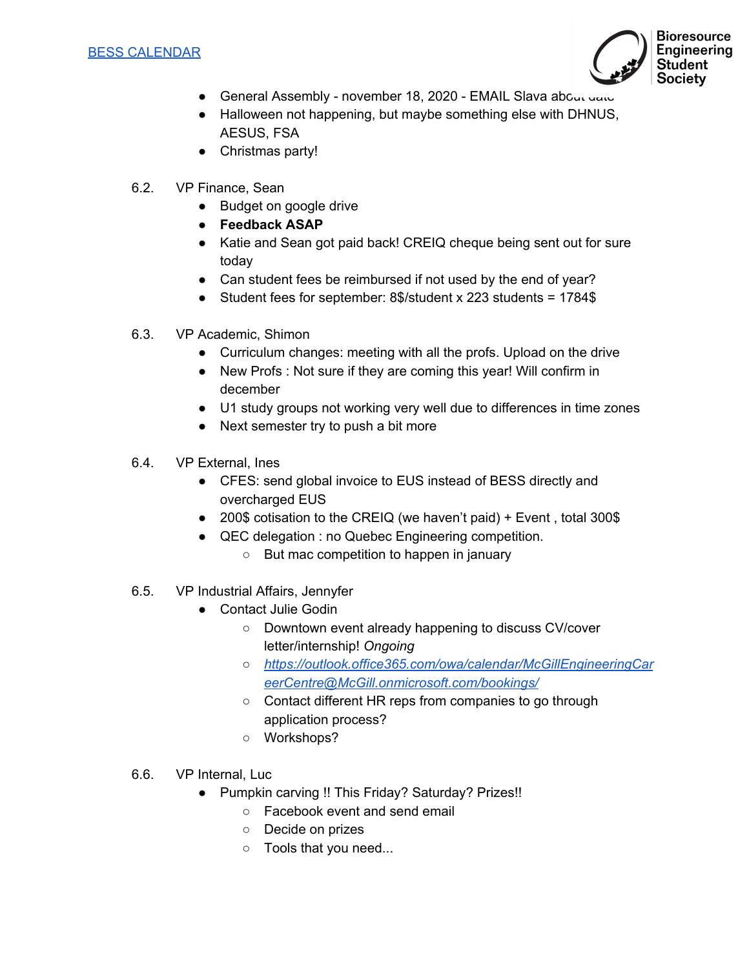

- General Assembly november 18, 2020 EMAIL Slava about uate
- Halloween not happening, but maybe something else with DHNUS, AESUS, FSA
- Christmas party!
- 6.2. VP Finance, Sean
	- Budget on google drive
	- **● Feedback ASAP**
	- Katie and Sean got paid back! CREIQ cheque being sent out for sure today
	- Can student fees be reimbursed if not used by the end of year?
	- Student fees for september: 8\$/student x 223 students = 1784\$
- 6.3. VP Academic, Shimon
	- Curriculum changes: meeting with all the profs. Upload on the drive
	- New Profs : Not sure if they are coming this year! Will confirm in december
	- U1 study groups not working very well due to differences in time zones
	- Next semester try to push a bit more
- 6.4. VP External, Ines
	- CFES: send global invoice to EUS instead of BESS directly and overcharged EUS
	- 200\$ cotisation to the CREIQ (we haven't paid) + Event, total 300\$
	- QEC delegation : no Quebec Engineering competition.
		- But mac competition to happen in january
- 6.5. VP Industrial Affairs, Jennyfer
	- Contact Julie Godin
		- Downtown event already happening to discuss CV/cover letter/internship! *Ongoing*
		- *○ [https://outlook.office365.com/owa/calendar/McGillEngineeringCar](https://outlook.office365.com/owa/calendar/McGillEngineeringCareerCentre@McGill.onmicrosoft.com/bookings/) [eerCentre@McGill.onmicrosoft.com/bookings/](https://outlook.office365.com/owa/calendar/McGillEngineeringCareerCentre@McGill.onmicrosoft.com/bookings/)*
		- Contact different HR reps from companies to go through application process?
		- Workshops?
- 6.6. VP Internal, Luc
	- Pumpkin carving !! This Friday? Saturday? Prizes!!
		- Facebook event and send email
		- Decide on prizes
		- Tools that you need...